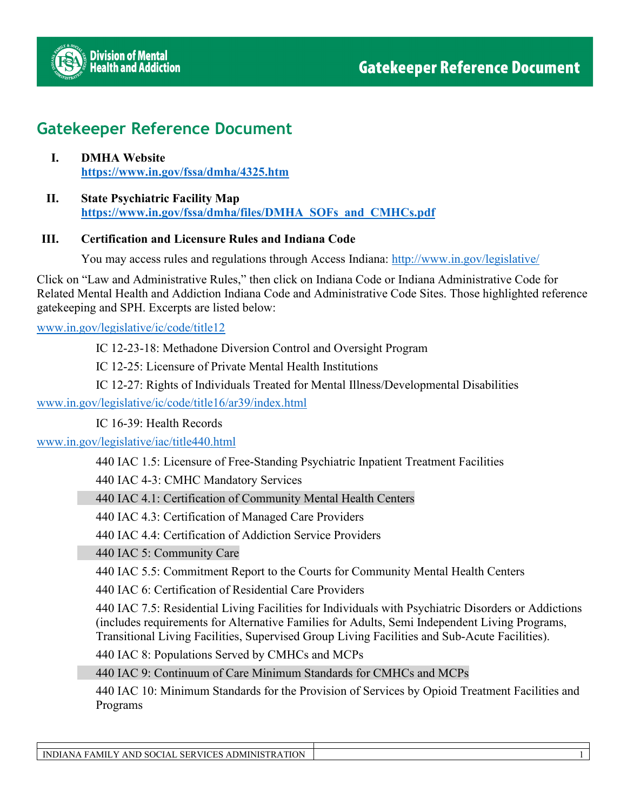

## **Gatekeeper Reference Document**

- **I. DMHA Website <https://www.in.gov/fssa/dmha/4325.htm>**
- **II. State Psychiatric Facility Map [https://www.in.gov/fssa/dmha/files/DMHA\\_SOFs\\_and\\_CMHCs.pdf](https://www.in.gov/fssa/dmha/files/DMHA_SOFs_and_CMHCs.pdf)**

#### **III. Certification and Licensure Rules and Indiana Code**

You may access rules and regulations through Access Indiana:<http://www.in.gov/legislative/>

Click on "Law and Administrative Rules," then click on Indiana Code or Indiana Administrative Code for Related Mental Health and Addiction Indiana Code and Administrative Code Sites. Those highlighted reference gatekeeping and SPH. Excerpts are listed below:

[www.in.gov/legislative/ic/code/title12](http://www.in.gov/legislative/ic/code/title12) 

IC 12-23-18: Methadone Diversion Control and Oversight Program

**IC 12-25: Licensure of Private Mental Health Institutions** 

**▪** IC 12-27: Rights of Individuals Treated for Mental Illness/Developmental Disabilities

[www.in.gov/legislative/ic/code/title16/ar39/index.html](http://www.in.gov/legislative/ic/code/title16/ar39/index.html) 

**IC 16-39: Health Records** 

[www.in.gov/legislative/iac/title440.html](http://www.in.gov/legislative/iac/title440.html) 

**▪** 440 IAC 1.5: Licensure of Free-Standing Psychiatric Inpatient Treatment Facilities

**▪** 440 IAC 4-3: CMHC Mandatory Services

**▪** 440 IAC 4.1: Certification of Community Mental Health Centers

**▪** 440 IAC 4.3: Certification of Managed Care Providers

**▪** 440 IAC 4.4: Certification of Addiction Service Providers

**▪** 440 IAC 5: Community Care

**▪** 440 IAC 5.5: Commitment Report to the Courts for Community Mental Health Centers

**▪** 440 IAC 6: Certification of Residential Care Providers

**▪** 440 IAC 7.5: Residential Living Facilities for Individuals with Psychiatric Disorders or Addictions (includes requirements for Alternative Families for Adults, Semi Independent Living Programs, Transitional Living Facilities, Supervised Group Living Facilities and Sub-Acute Facilities).

**▪** 440 IAC 8: Populations Served by CMHCs and MCPs

**▪** 440 IAC 9: Continuum of Care Minimum Standards for CMHCs and MCPs

**▪** 440 IAC 10: Minimum Standards for the Provision of Services by Opioid Treatment Facilities and Programs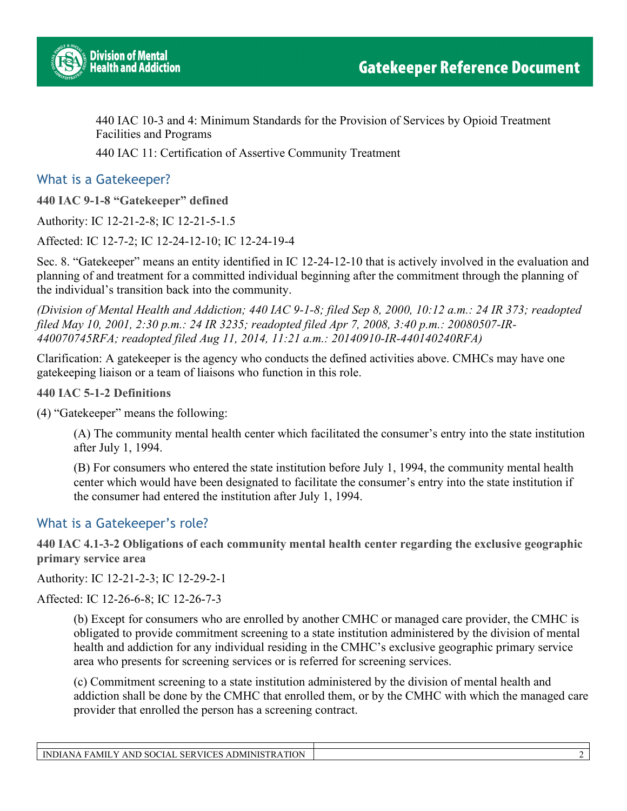

**▪** 440 IAC 10-3 and 4: Minimum Standards for the Provision of Services by Opioid Treatment Facilities and Programs

**▪** 440 IAC 11: Certification of Assertive Community Treatment

What is a Gatekeeper?

**440 IAC 9-1-8 "Gatekeeper" defined**

Authority: IC 12-21-2-8; IC 12-21-5-1.5

Affected: IC 12-7-2; IC 12-24-12-10; IC 12-24-19-4

Sec. 8. "Gatekeeper" means an entity identified in IC 12-24-12-10 that is actively involved in the evaluation and planning of and treatment for a committed individual beginning after the commitment through the planning of the individual's transition back into the community.

*(Division of Mental Health and Addiction; 440 IAC 9-1-8; filed Sep 8, 2000, 10:12 a.m.: 24 IR 373; readopted filed May 10, 2001, 2:30 p.m.: 24 IR 3235; readopted filed Apr 7, 2008, 3:40 p.m.: 20080507-IR-440070745RFA; readopted filed Aug 11, 2014, 11:21 a.m.: 20140910-IR-440140240RFA)* 

Clarification: A gatekeeper is the agency who conducts the defined activities above. CMHCs may have one gatekeeping liaison or a team of liaisons who function in this role.

**440 IAC 5-1-2 Definitions**

(4) "Gatekeeper" means the following:

(A) The community mental health center which facilitated the consumer's entry into the state institution after July 1, 1994.

(B) For consumers who entered the state institution before July 1, 1994, the community mental health center which would have been designated to facilitate the consumer's entry into the state institution if the consumer had entered the institution after July 1, 1994.

### What is a Gatekeeper's role?

**440 IAC 4.1-3-2 Obligations of each community mental health center regarding the exclusive geographic primary service area**

Authority: IC 12-21-2-3; IC 12-29-2-1

Affected: IC 12-26-6-8; IC 12-26-7-3

(b) Except for consumers who are enrolled by another CMHC or managed care provider, the CMHC is obligated to provide commitment screening to a state institution administered by the division of mental health and addiction for any individual residing in the CMHC's exclusive geographic primary service area who presents for screening services or is referred for screening services.

(c) Commitment screening to a state institution administered by the division of mental health and addiction shall be done by the CMHC that enrolled them, or by the CMHC with which the managed care provider that enrolled the person has a screening contract.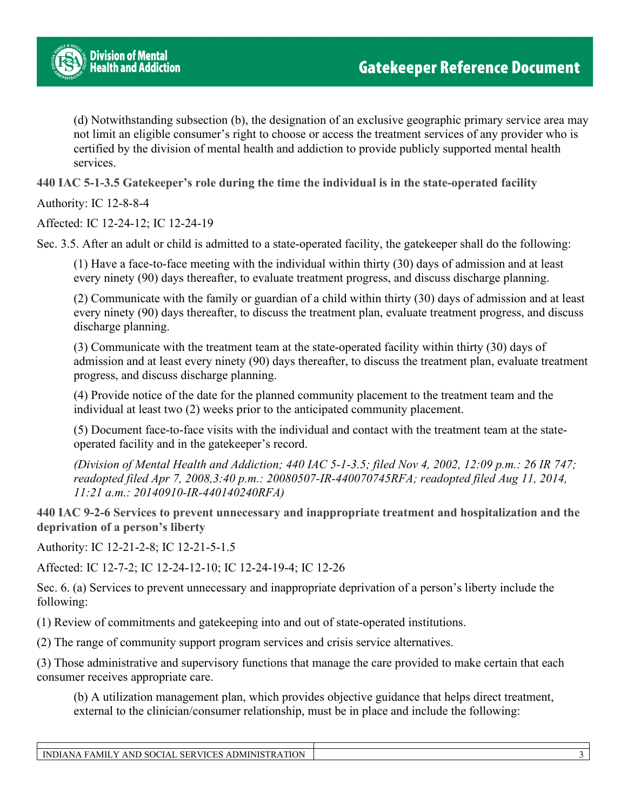

(d) Notwithstanding subsection (b), the designation of an exclusive geographic primary service area may not limit an eligible consumer's right to choose or access the treatment services of any provider who is certified by the division of mental health and addiction to provide publicly supported mental health services.

**440 IAC 5-1-3.5 Gatekeeper's role during the time the individual is in the state-operated facility**

Authority: IC 12-8-8-4

Affected: IC 12-24-12; IC 12-24-19

Sec. 3.5. After an adult or child is admitted to a state-operated facility, the gatekeeper shall do the following:

(1) Have a face-to-face meeting with the individual within thirty (30) days of admission and at least every ninety (90) days thereafter, to evaluate treatment progress, and discuss discharge planning.

(2) Communicate with the family or guardian of a child within thirty (30) days of admission and at least every ninety (90) days thereafter, to discuss the treatment plan, evaluate treatment progress, and discuss discharge planning.

(3) Communicate with the treatment team at the state-operated facility within thirty (30) days of admission and at least every ninety (90) days thereafter, to discuss the treatment plan, evaluate treatment progress, and discuss discharge planning.

(4) Provide notice of the date for the planned community placement to the treatment team and the individual at least two (2) weeks prior to the anticipated community placement.

(5) Document face-to-face visits with the individual and contact with the treatment team at the stateoperated facility and in the gatekeeper's record.

*(Division of Mental Health and Addiction; 440 IAC 5-1-3.5; filed Nov 4, 2002, 12:09 p.m.: 26 IR 747; readopted filed Apr 7, 2008,3:40 p.m.: 20080507-IR-440070745RFA; readopted filed Aug 11, 2014, 11:21 a.m.: 20140910-IR-440140240RFA)* 

**440 IAC 9-2-6 Services to prevent unnecessary and inappropriate treatment and hospitalization and the deprivation of a person's liberty**

Authority: IC 12-21-2-8; IC 12-21-5-1.5

Affected: IC 12-7-2; IC 12-24-12-10; IC 12-24-19-4; IC 12-26

Sec. 6. (a) Services to prevent unnecessary and inappropriate deprivation of a person's liberty include the following:

(1) Review of commitments and gatekeeping into and out of state-operated institutions.

(2) The range of community support program services and crisis service alternatives.

(3) Those administrative and supervisory functions that manage the care provided to make certain that each consumer receives appropriate care.

(b) A utilization management plan, which provides objective guidance that helps direct treatment, external to the clinician/consumer relationship, must be in place and include the following: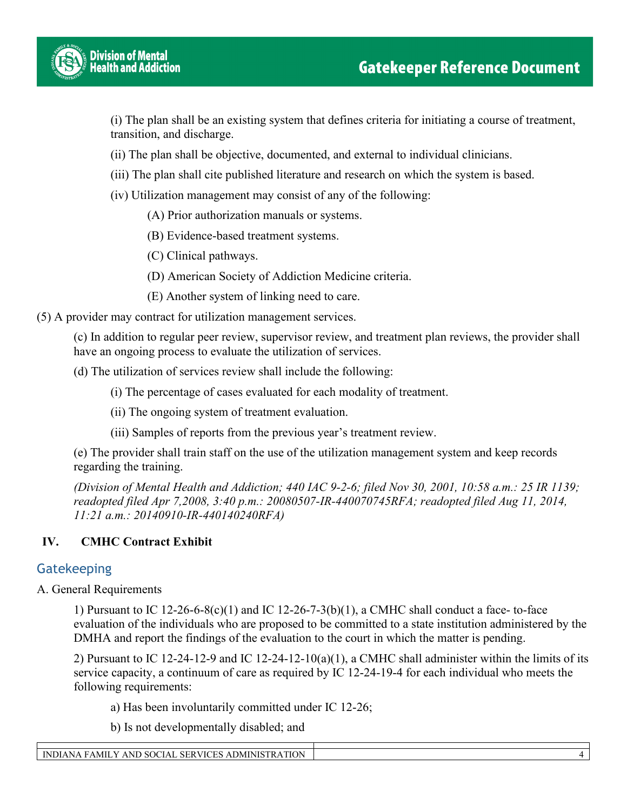

(i) The plan shall be an existing system that defines criteria for initiating a course of treatment, transition, and discharge.

(ii) The plan shall be objective, documented, and external to individual clinicians.

(iii) The plan shall cite published literature and research on which the system is based.

(iv) Utilization management may consist of any of the following:

(A) Prior authorization manuals or systems.

(B) Evidence-based treatment systems.

(C) Clinical pathways.

(D) American Society of Addiction Medicine criteria.

(E) Another system of linking need to care.

(5) A provider may contract for utilization management services.

(c) In addition to regular peer review, supervisor review, and treatment plan reviews, the provider shall have an ongoing process to evaluate the utilization of services.

(d) The utilization of services review shall include the following:

(i) The percentage of cases evaluated for each modality of treatment.

(ii) The ongoing system of treatment evaluation.

(iii) Samples of reports from the previous year's treatment review.

(e) The provider shall train staff on the use of the utilization management system and keep records regarding the training.

*(Division of Mental Health and Addiction; 440 IAC 9-2-6; filed Nov 30, 2001, 10:58 a.m.: 25 IR 1139; readopted filed Apr 7,2008, 3:40 p.m.: 20080507-IR-440070745RFA; readopted filed Aug 11, 2014, 11:21 a.m.: 20140910-IR-440140240RFA)* 

### **IV. CMHC Contract Exhibit**

### **Gatekeeping**

A. General Requirements

1) Pursuant to IC 12-26-6-8(c)(1) and IC 12-26-7-3(b)(1), a CMHC shall conduct a face- to-face evaluation of the individuals who are proposed to be committed to a state institution administered by the DMHA and report the findings of the evaluation to the court in which the matter is pending.

2) Pursuant to IC 12-24-12-9 and IC 12-24-12-10(a)(1), a CMHC shall administer within the limits of its service capacity, a continuum of care as required by IC 12-24-19-4 for each individual who meets the following requirements:

a) Has been involuntarily committed under IC 12-26;

b) Is not developmentally disabled; and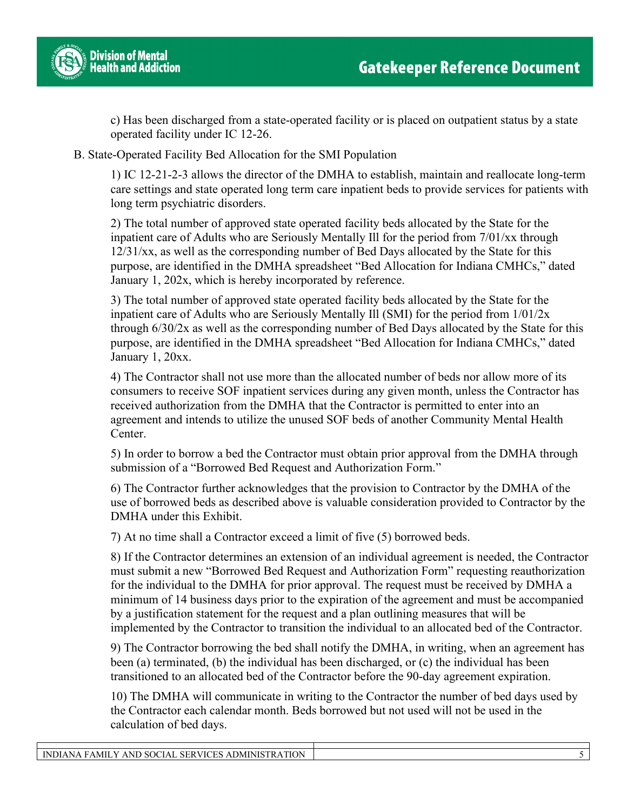

c) Has been discharged from a state-operated facility or is placed on outpatient status by a state operated facility under IC 12-26.

B. State-Operated Facility Bed Allocation for the SMI Population

1) IC 12-21-2-3 allows the director of the DMHA to establish, maintain and reallocate long-term care settings and state operated long term care inpatient beds to provide services for patients with long term psychiatric disorders.

2) The total number of approved state operated facility beds allocated by the State for the inpatient care of Adults who are Seriously Mentally Ill for the period from 7/01/xx through 12/31/xx, as well as the corresponding number of Bed Days allocated by the State for this purpose, are identified in the DMHA spreadsheet "Bed Allocation for Indiana CMHCs," dated January 1, 202x, which is hereby incorporated by reference.

3) The total number of approved state operated facility beds allocated by the State for the inpatient care of Adults who are Seriously Mentally Ill (SMI) for the period from 1/01/2x through 6/30/2x as well as the corresponding number of Bed Days allocated by the State for this purpose, are identified in the DMHA spreadsheet "Bed Allocation for Indiana CMHCs," dated January 1, 20xx.

4) The Contractor shall not use more than the allocated number of beds nor allow more of its consumers to receive SOF inpatient services during any given month, unless the Contractor has received authorization from the DMHA that the Contractor is permitted to enter into an agreement and intends to utilize the unused SOF beds of another Community Mental Health Center.

5) In order to borrow a bed the Contractor must obtain prior approval from the DMHA through submission of a "Borrowed Bed Request and Authorization Form."

6) The Contractor further acknowledges that the provision to Contractor by the DMHA of the use of borrowed beds as described above is valuable consideration provided to Contractor by the DMHA under this Exhibit.

7) At no time shall a Contractor exceed a limit of five (5) borrowed beds.

8) If the Contractor determines an extension of an individual agreement is needed, the Contractor must submit a new "Borrowed Bed Request and Authorization Form" requesting reauthorization for the individual to the DMHA for prior approval. The request must be received by DMHA a minimum of 14 business days prior to the expiration of the agreement and must be accompanied by a justification statement for the request and a plan outlining measures that will be implemented by the Contractor to transition the individual to an allocated bed of the Contractor.

9) The Contractor borrowing the bed shall notify the DMHA, in writing, when an agreement has been (a) terminated, (b) the individual has been discharged, or (c) the individual has been transitioned to an allocated bed of the Contractor before the 90-day agreement expiration.

10) The DMHA will communicate in writing to the Contractor the number of bed days used by the Contractor each calendar month. Beds borrowed but not used will not be used in the calculation of bed days.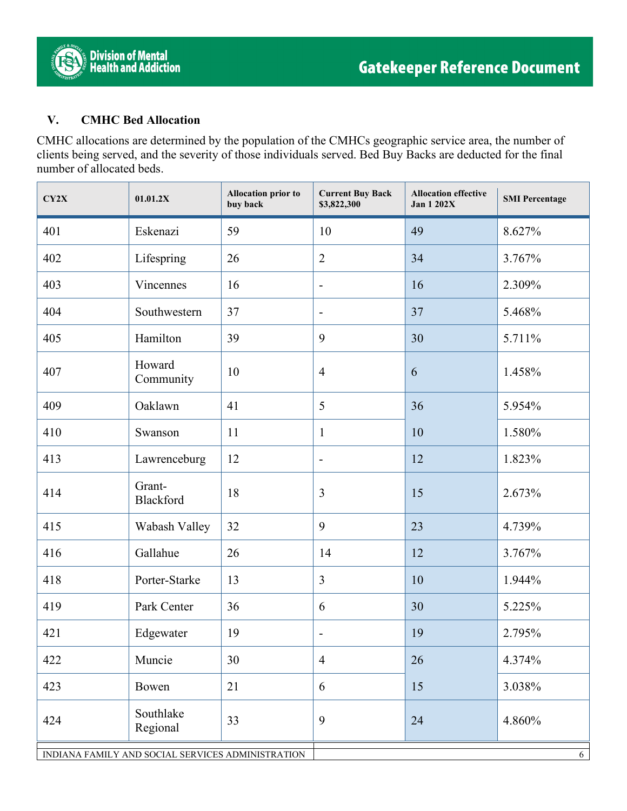

### **V. CMHC Bed Allocation**

CMHC allocations are determined by the population of the CMHCs geographic service area, the number of clients being served, and the severity of those individuals served. Bed Buy Backs are deducted for the final number of allocated beds.

| CY2X                                              | 01.01.2X              | <b>Allocation prior to</b><br>buy back | <b>Current Buy Back</b><br>\$3,822,300 | <b>Allocation effective</b><br><b>Jan 1 202X</b> | <b>SMI</b> Percentage |
|---------------------------------------------------|-----------------------|----------------------------------------|----------------------------------------|--------------------------------------------------|-----------------------|
| 401                                               | Eskenazi              | 59                                     | 10                                     | 49                                               | 8.627%                |
| 402                                               | Lifespring            | 26                                     | $\overline{2}$                         | 34                                               | 3.767%                |
| 403                                               | Vincennes             | 16                                     | $\overline{\phantom{a}}$               | 16                                               | 2.309%                |
| 404                                               | Southwestern          | 37                                     | $\overline{a}$                         | 37                                               | 5.468%                |
| 405                                               | Hamilton              | 39                                     | 9                                      | 30                                               | 5.711%                |
| 407                                               | Howard<br>Community   | 10                                     | $\overline{4}$                         | 6                                                | 1.458%                |
| 409                                               | Oaklawn               | 41                                     | 5                                      | 36                                               | 5.954%                |
| 410                                               | Swanson               | 11                                     | $\mathbf{1}$                           | 10                                               | 1.580%                |
| 413                                               | Lawrenceburg          | 12                                     | $\overline{a}$                         | 12                                               | 1.823%                |
| 414                                               | Grant-<br>Blackford   | 18                                     | 3                                      | 15                                               | 2.673%                |
| 415                                               | Wabash Valley         | 32                                     | 9                                      | 23                                               | 4.739%                |
| 416                                               | Gallahue              | 26                                     | 14                                     | 12                                               | 3.767%                |
| 418                                               | Porter-Starke         | 13                                     | 3                                      | 10                                               | 1.944%                |
| 419                                               | Park Center           | 36                                     | 6                                      | 30                                               | 5.225%                |
| 421                                               | Edgewater             | 19                                     | $\overline{a}$                         | 19                                               | 2.795%                |
| 422                                               | Muncie                | 30                                     | $\overline{4}$                         | 26                                               | 4.374%                |
| 423                                               | Bowen                 | 21                                     | 6                                      | 15                                               | 3.038%                |
| 424                                               | Southlake<br>Regional | 33                                     | 9                                      | 24                                               | 4.860%                |
| INDIANA FAMILY AND SOCIAL SERVICES ADMINISTRATION |                       |                                        |                                        | 6                                                |                       |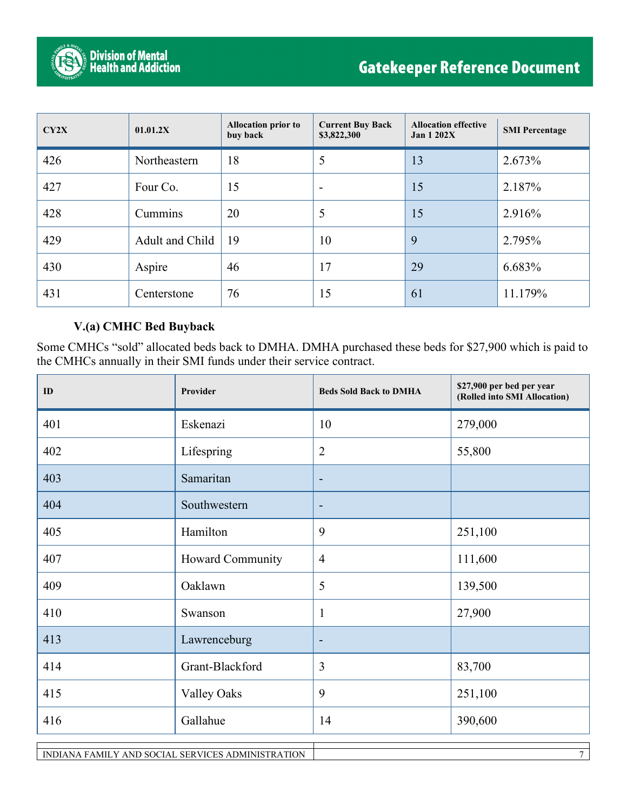

| CY2X | 01.01.2X        | <b>Allocation prior to</b><br>buy back | <b>Current Buy Back</b><br>\$3,822,300 | <b>Allocation effective</b><br>Jan $1202X$ | <b>SMI</b> Percentage |
|------|-----------------|----------------------------------------|----------------------------------------|--------------------------------------------|-----------------------|
| 426  | Northeastern    | 18                                     | 5                                      | 13                                         | 2.673%                |
| 427  | Four Co.        | 15                                     | $\overline{\phantom{a}}$               | 15                                         | 2.187%                |
| 428  | Cummins         | 20                                     | 5                                      | 15                                         | 2.916%                |
| 429  | Adult and Child | 19                                     | 10                                     | 9                                          | 2.795%                |
| 430  | Aspire          | 46                                     | 17                                     | 29                                         | 6.683%                |
| 431  | Centerstone     | 76                                     | 15                                     | 61                                         | 11.179%               |

### **V.(a) CMHC Bed Buyback**

Some CMHCs "sold" allocated beds back to DMHA. DMHA purchased these beds for \$27,900 which is paid to the CMHCs annually in their SMI funds under their service contract.

| ID  | Provider           | <b>Beds Sold Back to DMHA</b> | \$27,900 per bed per year<br>(Rolled into SMI Allocation) |
|-----|--------------------|-------------------------------|-----------------------------------------------------------|
| 401 | Eskenazi           | 10                            | 279,000                                                   |
| 402 | Lifespring         | $\overline{2}$                | 55,800                                                    |
| 403 | Samaritan          | $\overline{\phantom{a}}$      |                                                           |
| 404 | Southwestern       | ۰                             |                                                           |
| 405 | Hamilton           | 9                             | 251,100                                                   |
| 407 | Howard Community   | $\overline{4}$                | 111,600                                                   |
| 409 | Oaklawn            | 5                             | 139,500                                                   |
| 410 | Swanson            | $\mathbf{1}$                  | 27,900                                                    |
| 413 | Lawrenceburg       | $\overline{\phantom{a}}$      |                                                           |
| 414 | Grant-Blackford    | 3                             | 83,700                                                    |
| 415 | <b>Valley Oaks</b> | 9                             | 251,100                                                   |
| 416 | Gallahue           | 14                            | 390,600                                                   |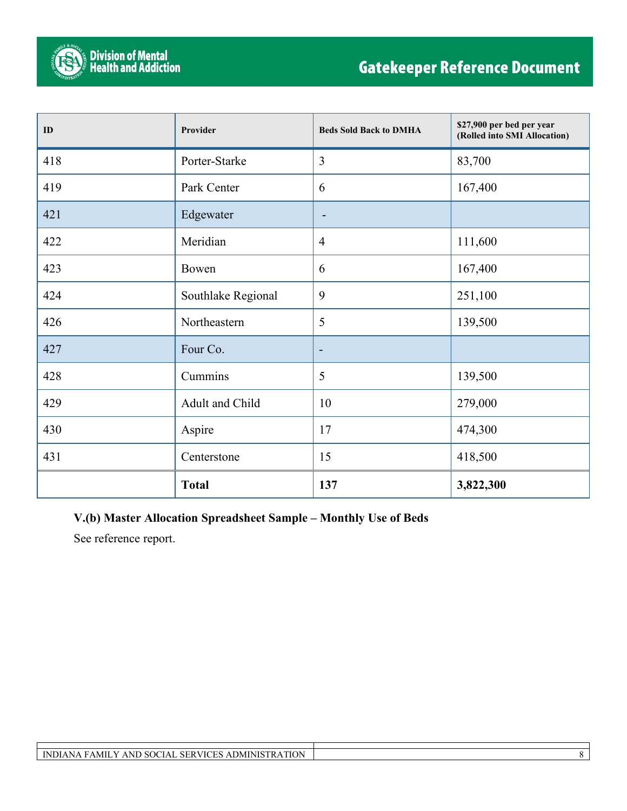

| ID  | Provider           | <b>Beds Sold Back to DMHA</b> | \$27,900 per bed per year<br>(Rolled into SMI Allocation) |
|-----|--------------------|-------------------------------|-----------------------------------------------------------|
| 418 | Porter-Starke      | $\overline{3}$                | 83,700                                                    |
| 419 | Park Center        | 6                             | 167,400                                                   |
| 421 | Edgewater          | ۰                             |                                                           |
| 422 | Meridian           | $\overline{4}$                | 111,600                                                   |
| 423 | Bowen              | 6                             | 167,400                                                   |
| 424 | Southlake Regional | 9                             | 251,100                                                   |
| 426 | Northeastern       | 5                             | 139,500                                                   |
| 427 | Four Co.           | $\overline{\phantom{a}}$      |                                                           |
| 428 | Cummins            | 5                             | 139,500                                                   |
| 429 | Adult and Child    | 10                            | 279,000                                                   |
| 430 | Aspire             | 17                            | 474,300                                                   |
| 431 | Centerstone        | 15                            | 418,500                                                   |
|     | <b>Total</b>       | 137                           | 3,822,300                                                 |

### **V.(b) Master Allocation Spreadsheet Sample – Monthly Use of Beds**

See reference report.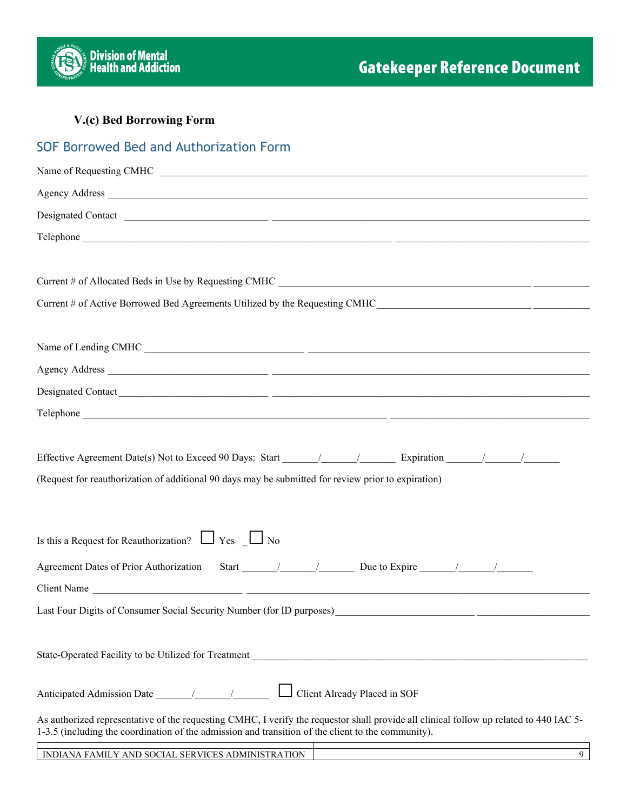

### **V.(c) Bed Borrowing Form**

| SOF Borrowed Bed and Authorization Form                                                                                                                                                                                                      |
|----------------------------------------------------------------------------------------------------------------------------------------------------------------------------------------------------------------------------------------------|
| Name of Requesting CMHC                                                                                                                                                                                                                      |
|                                                                                                                                                                                                                                              |
|                                                                                                                                                                                                                                              |
|                                                                                                                                                                                                                                              |
|                                                                                                                                                                                                                                              |
| Current # of Allocated Beds in Use by Requesting CMHC                                                                                                                                                                                        |
|                                                                                                                                                                                                                                              |
|                                                                                                                                                                                                                                              |
| Name of Lending CMHC                                                                                                                                                                                                                         |
|                                                                                                                                                                                                                                              |
| Designated Contact                                                                                                                                                                                                                           |
|                                                                                                                                                                                                                                              |
| (Request for reauthorization of additional 90 days may be submitted for review prior to expiration)                                                                                                                                          |
| Is this a Request for Reauthorization? $\Box$ Yes $\Box$ No                                                                                                                                                                                  |
|                                                                                                                                                                                                                                              |
| Client Name                                                                                                                                                                                                                                  |
| Last Four Digits of Consumer Social Security Number (for ID purposes)<br><u> 1980 - Jan Stein Stein Stein Stein Stein Stein Stein Stein Stein Stein Stein Stein Stein Stein Stein Stein S</u>                                                |
|                                                                                                                                                                                                                                              |
| Client Already Placed in SOF                                                                                                                                                                                                                 |
| As authorized representative of the requesting CMHC, I verify the requestor shall provide all clinical follow up related to 440 IAC 5-<br>1-3.5 (including the coordination of the admission and transition of the client to the community). |

INDIANA FAMILY AND SOCIAL SERVICES ADMINISTRATION 9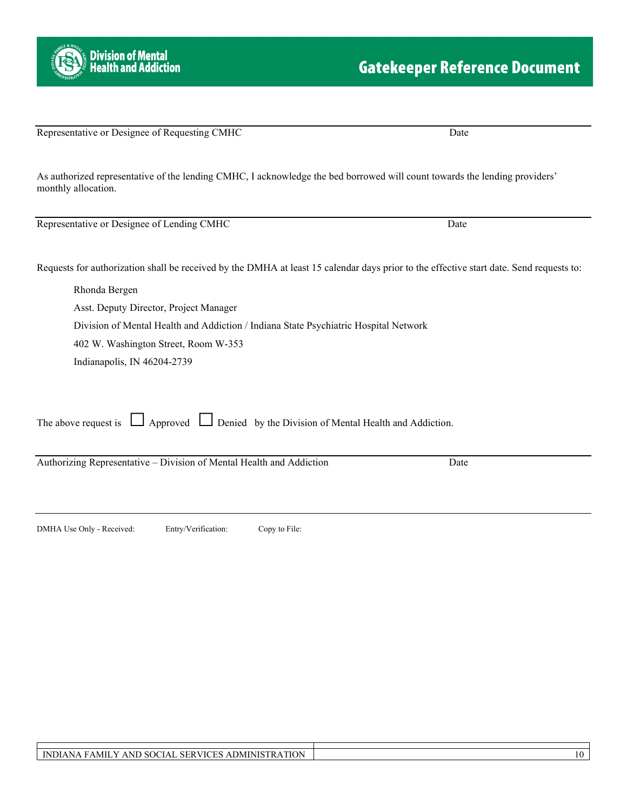Representative or Designee of Requesting CMHC Date

As authorized representative of the lending CMHC, I acknowledge the bed borrowed will count towards the lending providers' monthly allocation.

Representative or Designee of Lending CMHC Date

Requests for authorization shall be received by the DMHA at least 15 calendar days prior to the effective start date. Send requests to:

Rhonda Bergen Asst. Deputy Director, Project Manager Division of Mental Health and Addiction / Indiana State Psychiatric Hospital Network 402 W. Washington Street, Room W-353 Indianapolis, IN 46204-2739

The above request is  $\Box$  Approved  $\Box$  Denied by the Division of Mental Health and Addiction.

Authorizing Representative – Division of Mental Health and Addiction Date

DMHA Use Only - Received: Entry/Verification: Copy to File:

## **Gatekeeper Reference Document**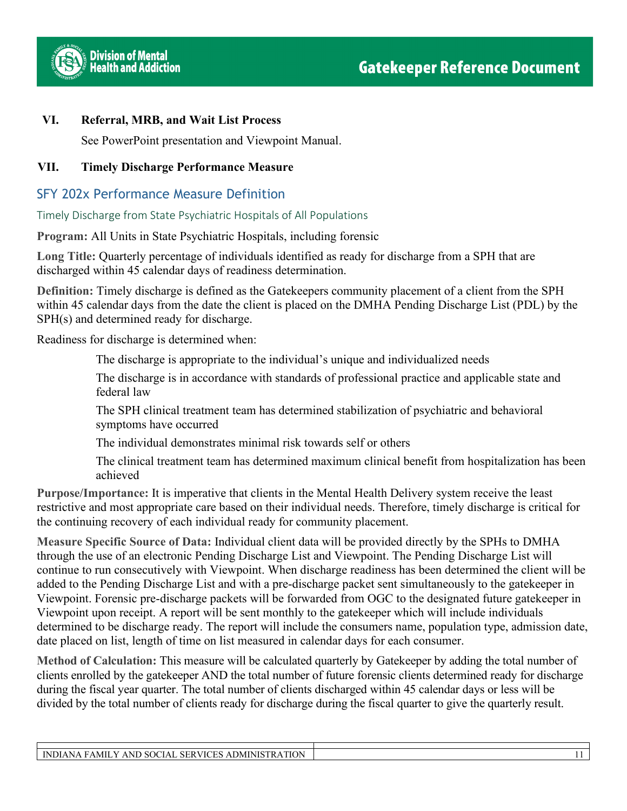

### **VI. Referral, MRB, and Wait List Process**

See PowerPoint presentation and Viewpoint Manual.

### **VII. Timely Discharge Performance Measure**

### SFY 202x Performance Measure Definition

Timely Discharge from State Psychiatric Hospitals of All Populations

**Program:** All Units in State Psychiatric Hospitals, including forensic

**Long Title:** Quarterly percentage of individuals identified as ready for discharge from a SPH that are discharged within 45 calendar days of readiness determination.

**Definition:** Timely discharge is defined as the Gatekeepers community placement of a client from the SPH within 45 calendar days from the date the client is placed on the DMHA Pending Discharge List (PDL) by the SPH(s) and determined ready for discharge.

Readiness for discharge is determined when:

The discharge is appropriate to the individual's unique and individualized needs

The discharge is in accordance with standards of professional practice and applicable state and federal law

The SPH clinical treatment team has determined stabilization of psychiatric and behavioral symptoms have occurred

The individual demonstrates minimal risk towards self or others

The clinical treatment team has determined maximum clinical benefit from hospitalization has been achieved

**Purpose/Importance:** It is imperative that clients in the Mental Health Delivery system receive the least restrictive and most appropriate care based on their individual needs. Therefore, timely discharge is critical for the continuing recovery of each individual ready for community placement.

**Measure Specific Source of Data:** Individual client data will be provided directly by the SPHs to DMHA through the use of an electronic Pending Discharge List and Viewpoint. The Pending Discharge List will continue to run consecutively with Viewpoint. When discharge readiness has been determined the client will be added to the Pending Discharge List and with a pre-discharge packet sent simultaneously to the gatekeeper in Viewpoint. Forensic pre-discharge packets will be forwarded from OGC to the designated future gatekeeper in Viewpoint upon receipt. A report will be sent monthly to the gatekeeper which will include individuals determined to be discharge ready. The report will include the consumers name, population type, admission date, date placed on list, length of time on list measured in calendar days for each consumer.

**Method of Calculation:** This measure will be calculated quarterly by Gatekeeper by adding the total number of clients enrolled by the gatekeeper AND the total number of future forensic clients determined ready for discharge during the fiscal year quarter. The total number of clients discharged within 45 calendar days or less will be divided by the total number of clients ready for discharge during the fiscal quarter to give the quarterly result.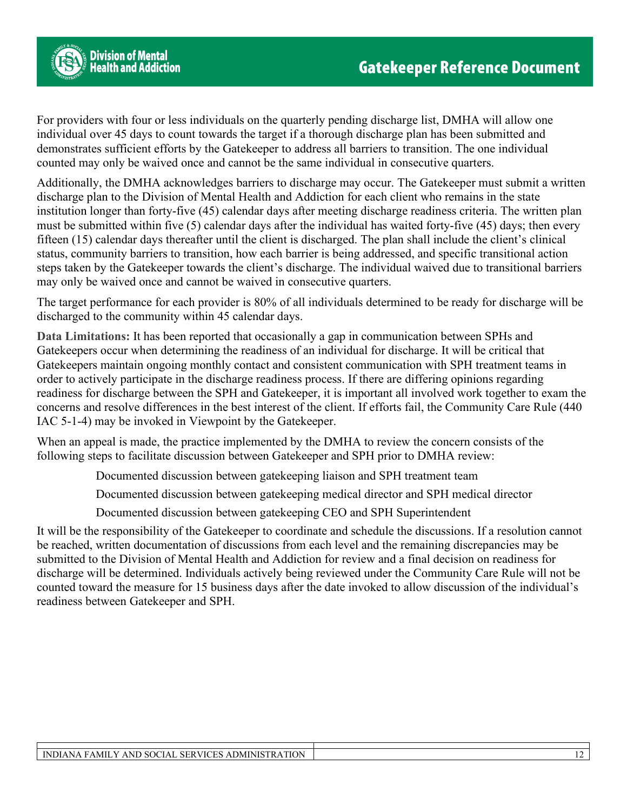

For providers with four or less individuals on the quarterly pending discharge list, DMHA will allow one individual over 45 days to count towards the target if a thorough discharge plan has been submitted and demonstrates sufficient efforts by the Gatekeeper to address all barriers to transition. The one individual counted may only be waived once and cannot be the same individual in consecutive quarters.

Additionally, the DMHA acknowledges barriers to discharge may occur. The Gatekeeper must submit a written discharge plan to the Division of Mental Health and Addiction for each client who remains in the state institution longer than forty-five (45) calendar days after meeting discharge readiness criteria. The written plan must be submitted within five (5) calendar days after the individual has waited forty-five (45) days; then every fifteen (15) calendar days thereafter until the client is discharged. The plan shall include the client's clinical status, community barriers to transition, how each barrier is being addressed, and specific transitional action steps taken by the Gatekeeper towards the client's discharge. The individual waived due to transitional barriers may only be waived once and cannot be waived in consecutive quarters.

The target performance for each provider is 80% of all individuals determined to be ready for discharge will be discharged to the community within 45 calendar days.

**Data Limitations:** It has been reported that occasionally a gap in communication between SPHs and Gatekeepers occur when determining the readiness of an individual for discharge. It will be critical that Gatekeepers maintain ongoing monthly contact and consistent communication with SPH treatment teams in order to actively participate in the discharge readiness process. If there are differing opinions regarding readiness for discharge between the SPH and Gatekeeper, it is important all involved work together to exam the concerns and resolve differences in the best interest of the client. If efforts fail, the Community Care Rule (440 IAC 5-1-4) may be invoked in Viewpoint by the Gatekeeper.

When an appeal is made, the practice implemented by the DMHA to review the concern consists of the following steps to facilitate discussion between Gatekeeper and SPH prior to DMHA review:

Documented discussion between gatekeeping liaison and SPH treatment team

Documented discussion between gatekeeping medical director and SPH medical director

Documented discussion between gatekeeping CEO and SPH Superintendent

It will be the responsibility of the Gatekeeper to coordinate and schedule the discussions. If a resolution cannot be reached, written documentation of discussions from each level and the remaining discrepancies may be submitted to the Division of Mental Health and Addiction for review and a final decision on readiness for discharge will be determined. Individuals actively being reviewed under the Community Care Rule will not be counted toward the measure for 15 business days after the date invoked to allow discussion of the individual's readiness between Gatekeeper and SPH.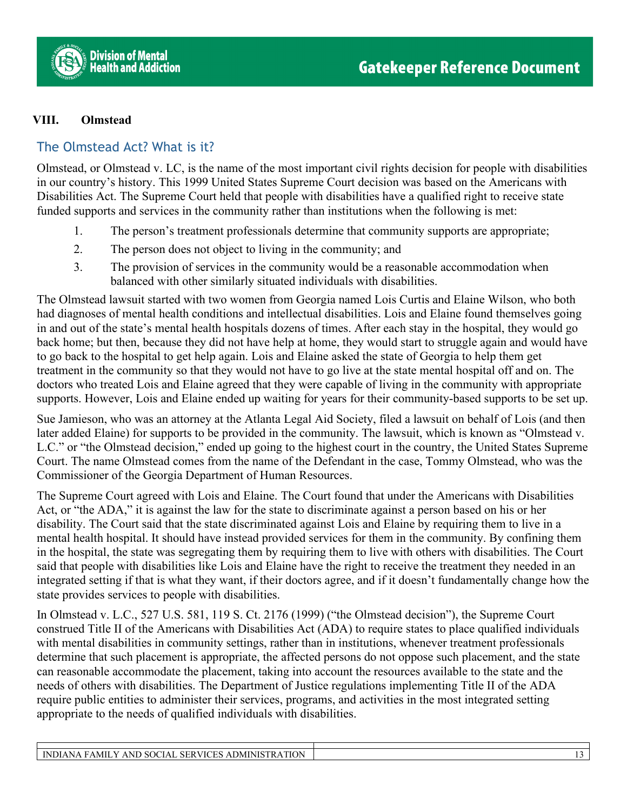

### **VIII. Olmstead**

### The Olmstead Act? What is it?

Olmstead, or Olmstead v. LC, is the name of the most important civil rights decision for people with disabilities in our country's history. This 1999 United States Supreme Court decision was based on the Americans with Disabilities Act. The Supreme Court held that people with disabilities have a qualified right to receive state funded supports and services in the community rather than institutions when the following is met:

- 1. The person's treatment professionals determine that community supports are appropriate;
- 2. The person does not object to living in the community; and
- 3. The provision of services in the community would be a reasonable accommodation when balanced with other similarly situated individuals with disabilities.

The Olmstead lawsuit started with two women from Georgia named Lois Curtis and Elaine Wilson, who both had diagnoses of mental health conditions and intellectual disabilities. Lois and Elaine found themselves going in and out of the state's mental health hospitals dozens of times. After each stay in the hospital, they would go back home; but then, because they did not have help at home, they would start to struggle again and would have to go back to the hospital to get help again. Lois and Elaine asked the state of Georgia to help them get treatment in the community so that they would not have to go live at the state mental hospital off and on. The doctors who treated Lois and Elaine agreed that they were capable of living in the community with appropriate supports. However, Lois and Elaine ended up waiting for years for their community-based supports to be set up.

Sue Jamieson, who was an attorney at the Atlanta Legal Aid Society, filed a lawsuit on behalf of Lois (and then later added Elaine) for supports to be provided in the community. The lawsuit, which is known as "Olmstead v. L.C." or "the Olmstead decision," ended up going to the highest court in the country, the United States Supreme Court. The name Olmstead comes from the name of the Defendant in the case, Tommy Olmstead, who was the Commissioner of the Georgia Department of Human Resources.

The Supreme Court agreed with Lois and Elaine. The Court found that under the Americans with Disabilities Act, or "the ADA," it is against the law for the state to discriminate against a person based on his or her disability. The Court said that the state discriminated against Lois and Elaine by requiring them to live in a mental health hospital. It should have instead provided services for them in the community. By confining them in the hospital, the state was segregating them by requiring them to live with others with disabilities. The Court said that people with disabilities like Lois and Elaine have the right to receive the treatment they needed in an integrated setting if that is what they want, if their doctors agree, and if it doesn't fundamentally change how the state provides services to people with disabilities.

In Olmstead v. L.C., 527 U.S. 581, 119 S. Ct. 2176 (1999) ("the Olmstead decision"), the Supreme Court construed Title II of the Americans with Disabilities Act (ADA) to require states to place qualified individuals with mental disabilities in community settings, rather than in institutions, whenever treatment professionals determine that such placement is appropriate, the affected persons do not oppose such placement, and the state can reasonable accommodate the placement, taking into account the resources available to the state and the needs of others with disabilities. The Department of Justice regulations implementing Title II of the ADA require public entities to administer their services, programs, and activities in the most integrated setting appropriate to the needs of qualified individuals with disabilities.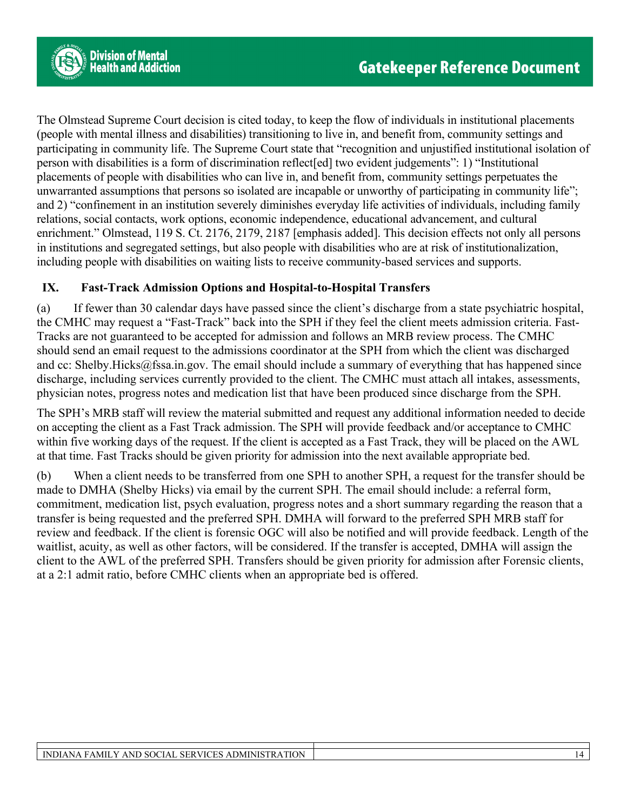The Olmstead Supreme Court decision is cited today, to keep the flow of individuals in institutional placements (people with mental illness and disabilities) transitioning to live in, and benefit from, community settings and participating in community life. The Supreme Court state that "recognition and unjustified institutional isolation of person with disabilities is a form of discrimination reflect[ed] two evident judgements": 1) "Institutional placements of people with disabilities who can live in, and benefit from, community settings perpetuates the unwarranted assumptions that persons so isolated are incapable or unworthy of participating in community life"; and 2) "confinement in an institution severely diminishes everyday life activities of individuals, including family relations, social contacts, work options, economic independence, educational advancement, and cultural enrichment." Olmstead, 119 S. Ct. 2176, 2179, 2187 [emphasis added]. This decision effects not only all persons in institutions and segregated settings, but also people with disabilities who are at risk of institutionalization, including people with disabilities on waiting lists to receive community-based services and supports.

### **IX. Fast-Track Admission Options and Hospital-to-Hospital Transfers**

(a) If fewer than 30 calendar days have passed since the client's discharge from a state psychiatric hospital, the CMHC may request a "Fast-Track" back into the SPH if they feel the client meets admission criteria. Fast-Tracks are not guaranteed to be accepted for admission and follows an MRB review process. The CMHC should send an email request to the admissions coordinator at the SPH from which the client was discharged and cc: Shelby.Hicks@fssa.in.gov. The email should include a summary of everything that has happened since discharge, including services currently provided to the client. The CMHC must attach all intakes, assessments, physician notes, progress notes and medication list that have been produced since discharge from the SPH.

The SPH's MRB staff will review the material submitted and request any additional information needed to decide on accepting the client as a Fast Track admission. The SPH will provide feedback and/or acceptance to CMHC within five working days of the request. If the client is accepted as a Fast Track, they will be placed on the AWL at that time. Fast Tracks should be given priority for admission into the next available appropriate bed.

(b) When a client needs to be transferred from one SPH to another SPH, a request for the transfer should be made to DMHA (Shelby Hicks) via email by the current SPH. The email should include: a referral form, commitment, medication list, psych evaluation, progress notes and a short summary regarding the reason that a transfer is being requested and the preferred SPH. DMHA will forward to the preferred SPH MRB staff for review and feedback. If the client is forensic OGC will also be notified and will provide feedback. Length of the waitlist, acuity, as well as other factors, will be considered. If the transfer is accepted, DMHA will assign the client to the AWL of the preferred SPH. Transfers should be given priority for admission after Forensic clients, at a 2:1 admit ratio, before CMHC clients when an appropriate bed is offered.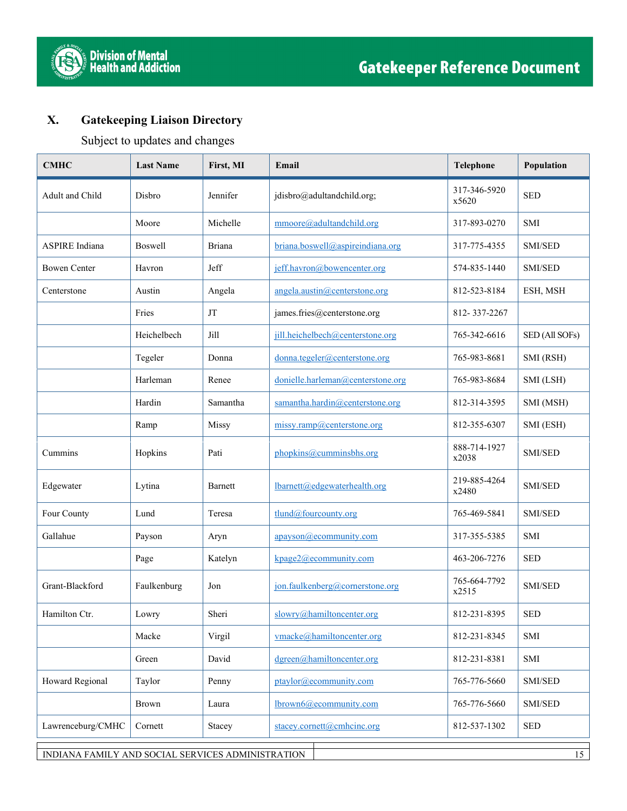



### **X. Gatekeeping Liaison Directory**

Subject to updates and changes

| <b>CMHC</b>           | <b>Last Name</b> | First, MI     | Email                             | Telephone             | Population     |
|-----------------------|------------------|---------------|-----------------------------------|-----------------------|----------------|
| Adult and Child       | Disbro           | Jennifer      | jdisbro@adultandchild.org;        | 317-346-5920<br>x5620 | <b>SED</b>     |
|                       | Moore            | Michelle      | mmoore@adultandchild.org          | 317-893-0270          | <b>SMI</b>     |
| <b>ASPIRE</b> Indiana | Boswell          | <b>Briana</b> | briana.boswell@aspireindiana.org  | 317-775-4355          | SMI/SED        |
| <b>Bowen Center</b>   | Havron           | Jeff          | jeff.havron@bowencenter.org       | 574-835-1440          | SMI/SED        |
| Centerstone           | Austin           | Angela        | angela.austin@centerstone.org     | 812-523-8184          | ESH, MSH       |
|                       | Fries            | JT            | james.fries@centerstone.org       | 812-337-2267          |                |
|                       | Heichelbech      | Jill          | jill.heichelbech@centerstone.org  | 765-342-6616          | SED (All SOFs) |
|                       | Tegeler          | Donna         | donna.tegeler@centerstone.org     | 765-983-8681          | SMI (RSH)      |
|                       | Harleman         | Renee         | donielle.harleman@centerstone.org | 765-983-8684          | SMI (LSH)      |
|                       | Hardin           | Samantha      | samantha.hardin@centerstone.org   | 812-314-3595          | SMI (MSH)      |
|                       | Ramp             | Missy         | missy.ramp@centerstone.org        | 812-355-6307          | SMI (ESH)      |
| Cummins               | Hopkins          | Pati          | phopkins@cumminsbhs.org           | 888-714-1927<br>x2038 | SMI/SED        |
| Edgewater             | Lytina           | Barnett       | lbarnett@edgewaterhealth.org      | 219-885-4264<br>x2480 | SMI/SED        |
| Four County           | Lund             | Teresa        | tlund@fourcounty.org              | 765-469-5841          | SMI/SED        |
| Gallahue              | Payson           | Aryn          | apayson@ecommunity.com            | 317-355-5385          | <b>SMI</b>     |
|                       | Page             | Katelyn       | $kpage2$ ( $@$ ecommunity.com     | 463-206-7276          | <b>SED</b>     |
| Grant-Blackford       | Faulkenburg      | Jon           | jon.faulkenberg@cornerstone.org   | 765-664-7792<br>x2515 | SMI/SED        |
| Hamilton Ctr.         | Lowry            | Sheri         | slowry@hamiltoncenter.org         | 812-231-8395          | <b>SED</b>     |
|                       | Macke            | Virgil        | vmacke@hamiltoncenter.org         | 812-231-8345          | SMI            |
|                       | Green            | David         | dgreen@hamiltoncenter.org         | 812-231-8381          | SMI            |
| Howard Regional       | Taylor           | Penny         | ptaylor@ecommunity.com            | 765-776-5660          | SMI/SED        |
|                       | Brown            | Laura         | lbrown6@ecommunity.com            | 765-776-5660          | SMI/SED        |
| Lawrenceburg/CMHC     | Cornett          | Stacey        | stacey.cornett@cmhcinc.org        | 812-537-1302          | <b>SED</b>     |

INDIANA FAMILY AND SOCIAL SERVICES ADMINISTRATION 15